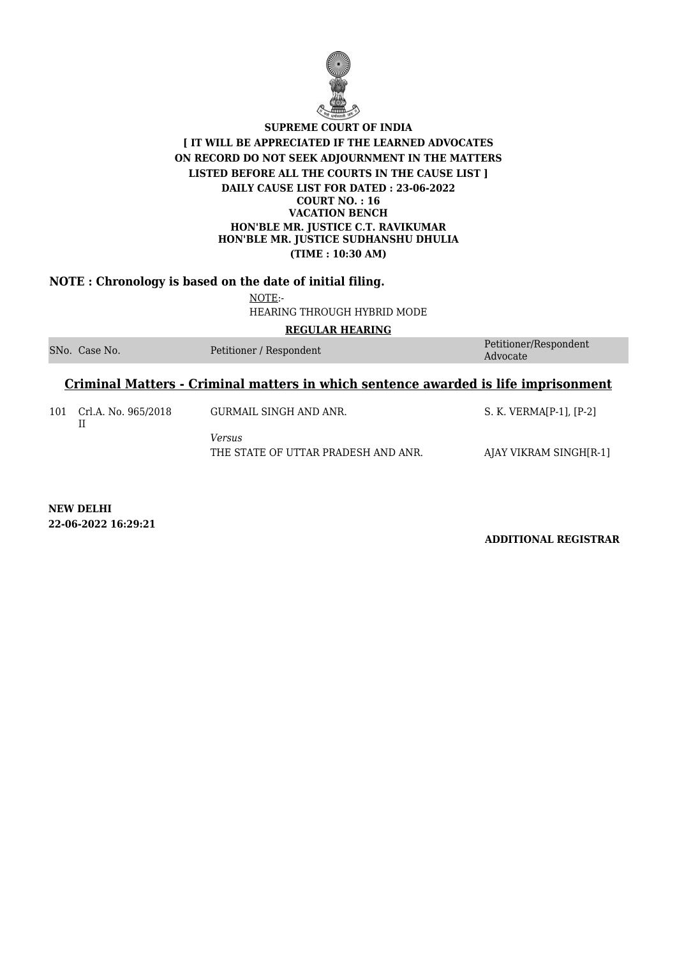

#### **NOTE : Chronology is based on the date of initial filing.**

NOTE:- HEARING THROUGH HYBRID MODE

**REGULAR HEARING**

|  | SNo. Case No. | Petitioner / Respondent | Petitioner/Respondent |
|--|---------------|-------------------------|-----------------------|
|  |               |                         | Advocate              |

#### **Criminal Matters - Criminal matters in which sentence awarded is life imprisonment**

101 Crl.A. No. 965/2018 II GURMAIL SINGH AND ANR. S. K. VERMA[P-1], [P-2] *Versus* THE STATE OF UTTAR PRADESH AND ANR. AJAY VIKRAM SINGH[R-1]

**NEW DELHI 22-06-2022 16:29:21**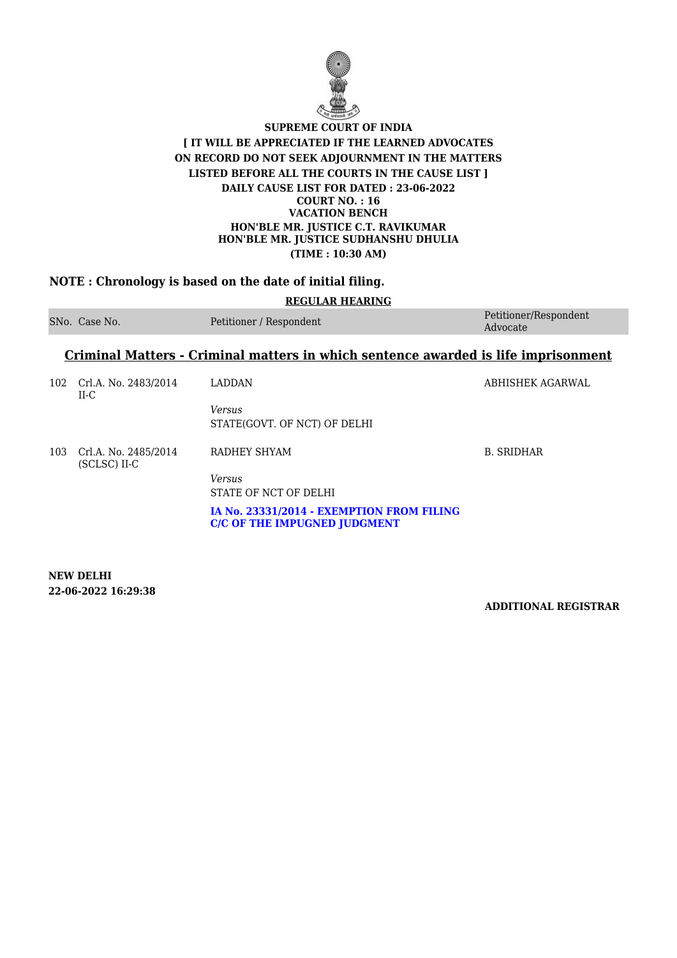

# **NOTE : Chronology is based on the date of initial filing.**

| <b>REGULAR HEARING</b> |                                                                                           |                                                                                  |                                   |  |
|------------------------|-------------------------------------------------------------------------------------------|----------------------------------------------------------------------------------|-----------------------------------|--|
|                        | SNo. Case No.                                                                             | Petitioner / Respondent                                                          | Petitioner/Respondent<br>Advocate |  |
|                        | <u>Criminal Matters - Criminal matters in which sentence awarded is life imprisonment</u> |                                                                                  |                                   |  |
| 102                    | Crl.A. No. 2483/2014<br>II-C                                                              | <b>LADDAN</b>                                                                    | ABHISHEK AGARWAL                  |  |
|                        |                                                                                           | <b>Versus</b><br>STATE(GOVT, OF NCT) OF DELHI                                    |                                   |  |
| 103                    | Crl.A. No. 2485/2014<br>(SCLSC) II-C                                                      | RADHEY SHYAM                                                                     | <b>B. SRIDHAR</b>                 |  |
|                        |                                                                                           | <b>Versus</b><br>STATE OF NCT OF DELHI                                           |                                   |  |
|                        |                                                                                           | IA No. 23331/2014 - EXEMPTION FROM FILING<br><b>C/C OF THE IMPUGNED JUDGMENT</b> |                                   |  |

**NEW DELHI 22-06-2022 16:29:38**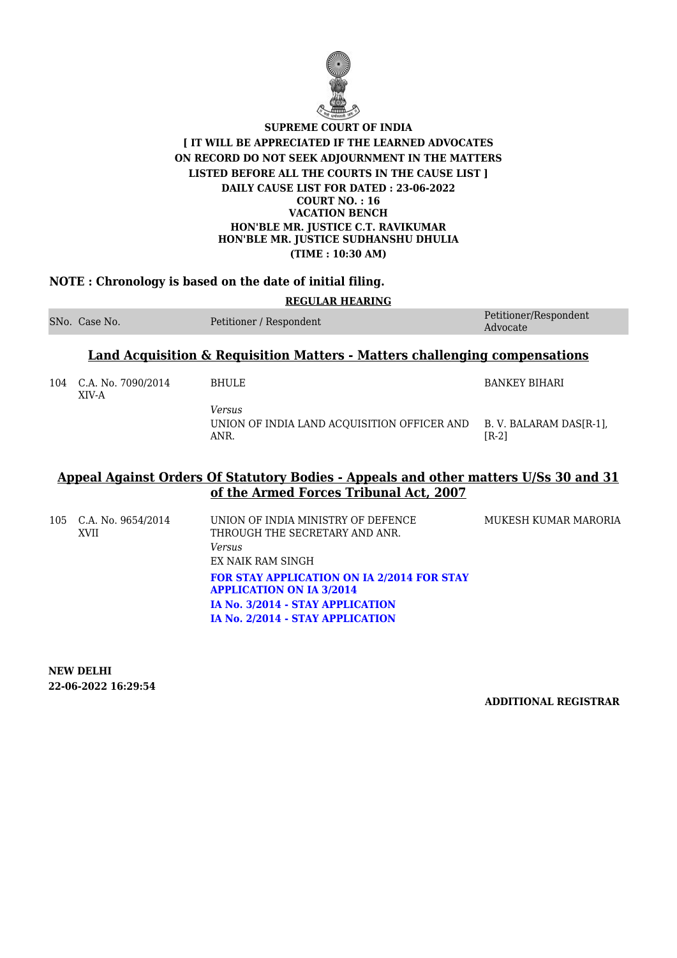

### **NOTE : Chronology is based on the date of initial filing.**

| <b>REGULAR HEARING</b> |                                                                                       |                                                                      |                                    |  |
|------------------------|---------------------------------------------------------------------------------------|----------------------------------------------------------------------|------------------------------------|--|
|                        | SNo. Case No.                                                                         | Petitioner / Respondent                                              | Petitioner/Respondent<br>Advocate  |  |
|                        | <b>Land Acquisition &amp; Requisition Matters - Matters challenging compensations</b> |                                                                      |                                    |  |
| 104                    | C.A. No. 7090/2014<br>XIV-A                                                           | <b>BHULE</b>                                                         | <b>BANKEY BIHARI</b>               |  |
|                        |                                                                                       | <b>Versus</b><br>UNION OF INDIA LAND ACQUISITION OFFICER AND<br>ANR. | B. V. BALARAM DAS[R-1],<br>$[R-2]$ |  |

## **Appeal Against Orders Of Statutory Bodies - Appeals and other matters U/Ss 30 and 31 of the Armed Forces Tribunal Act, 2007**

| 105 C.A. No. 9654/2014<br><b>XVII</b> | UNION OF INDIA MINISTRY OF DEFENCE<br>THROUGH THE SECRETARY AND ANR.<br>Versus<br>EX NAIK RAM SINGH                                                          | MUKESH KUMAR MARORIA |
|---------------------------------------|--------------------------------------------------------------------------------------------------------------------------------------------------------------|----------------------|
|                                       | <b>FOR STAY APPLICATION ON IA 2/2014 FOR STAY</b><br><b>APPLICATION ON IA 3/2014</b><br>IA No. 3/2014 - STAY APPLICATION<br>IA No. 2/2014 - STAY APPLICATION |                      |

**NEW DELHI 22-06-2022 16:29:54**